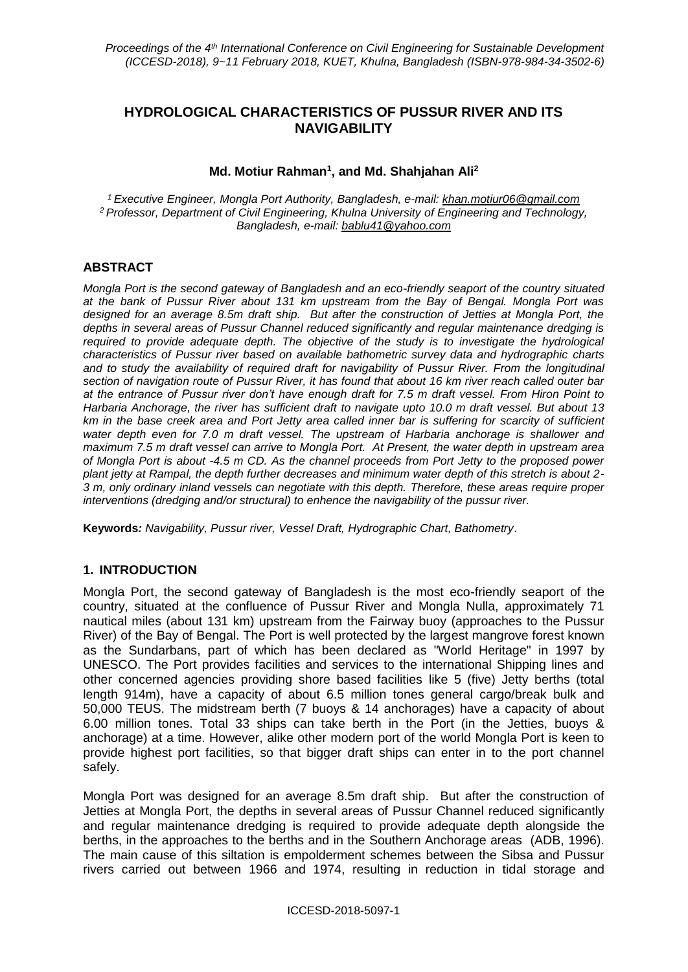# **HYDROLOGICAL CHARACTERISTICS OF PUSSUR RIVER AND ITS NAVIGABILITY**

## **Md. Motiur Rahman<sup>1</sup> , and Md. Shahjahan Ali<sup>2</sup>**

*<sup>1</sup> Executive Engineer, Mongla Port Authority, Bangladesh, e-mail: [khan.motiur06@gmail.com](mailto:khan.motiur06@gmail.com) <sup>2</sup> Professor, Department of Civil Engineering, Khulna University of Engineering and Technology, Bangladesh, e-mail: [bablu41@yahoo.com](mailto:bablu41@yahoo.com)*

## **ABSTRACT**

*Mongla Port is the second gateway of Bangladesh and an eco-friendly seaport of the country situated at the bank of Pussur River about 131 km upstream from the Bay of Bengal. Mongla Port was designed for an average 8.5m draft ship. But after the construction of Jetties at Mongla Port, the depths in several areas of Pussur Channel reduced significantly and regular maintenance dredging is required to provide adequate depth. The objective of the study is to investigate the hydrological characteristics of Pussur river based on available bathometric survey data and hydrographic charts and to study the availability of required draft for navigability of Pussur River. From the longitudinal section of navigation route of Pussur River, it has found that about 16 km river reach called outer bar at the entrance of Pussur river don't have enough draft for 7.5 m draft vessel. From Hiron Point to Harbaria Anchorage, the river has sufficient draft to navigate upto 10.0 m draft vessel. But about 13 km in the base creek area and Port Jetty area called inner bar is suffering for scarcity of sufficient*  water depth even for 7.0 m draft vessel. The upstream of Harbaria anchorage is shallower and *maximum 7.5 m draft vessel can arrive to Mongla Port. At Present, the water depth in upstream area of Mongla Port is about -4.5 m CD. As the channel proceeds from Port Jetty to the proposed power plant jetty at Rampal, the depth further decreases and minimum water depth of this stretch is about 2- 3 m, only ordinary inland vessels can negotiate with this depth. Therefore, these areas require proper interventions (dredging and/or structural) to enhence the navigability of the pussur river.*

**Keywords***: Navigability, Pussur river, Vessel Draft, Hydrographic Chart, Bathometry*.

### **1. INTRODUCTION**

Mongla Port, the second gateway of Bangladesh is the most eco-friendly seaport of the country, situated at the confluence of Pussur River and Mongla Nulla, approximately 71 nautical miles (about 131 km) upstream from the Fairway buoy (approaches to the Pussur River) of the Bay of Bengal. The Port is well protected by the largest mangrove forest known as the Sundarbans, part of which has been declared as "World Heritage" in 1997 by UNESCO. The Port provides facilities and services to the international Shipping lines and other concerned agencies providing shore based facilities like 5 (five) Jetty berths (total length 914m), have a capacity of about 6.5 million tones general cargo/break bulk and 50,000 TEUS. The midstream berth (7 buoys & 14 anchorages) have a capacity of about 6.00 million tones. Total 33 ships can take berth in the Port (in the Jetties, buoys & anchorage) at a time. However, alike other modern port of the world Mongla Port is keen to provide highest port facilities, so that bigger draft ships can enter in to the port channel safely.

Mongla Port was designed for an average 8.5m draft ship. But after the construction of Jetties at Mongla Port, the depths in several areas of Pussur Channel reduced significantly and regular maintenance dredging is required to provide adequate depth alongside the berths, in the approaches to the berths and in the Southern Anchorage areas (ADB, 1996). The main cause of this siltation is empolderment schemes between the Sibsa and Pussur rivers carried out between 1966 and 1974, resulting in reduction in tidal storage and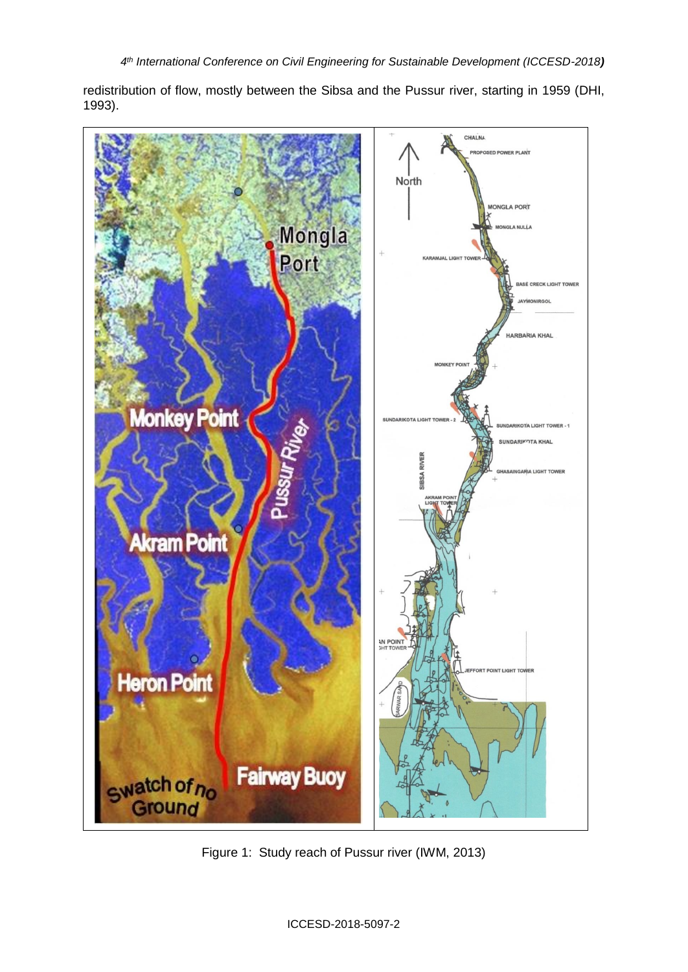redistribution of flow, mostly between the Sibsa and the Pussur river, starting in 1959 (DHI, 1993).



Figure 1: Study reach of Pussur river (IWM, 2013)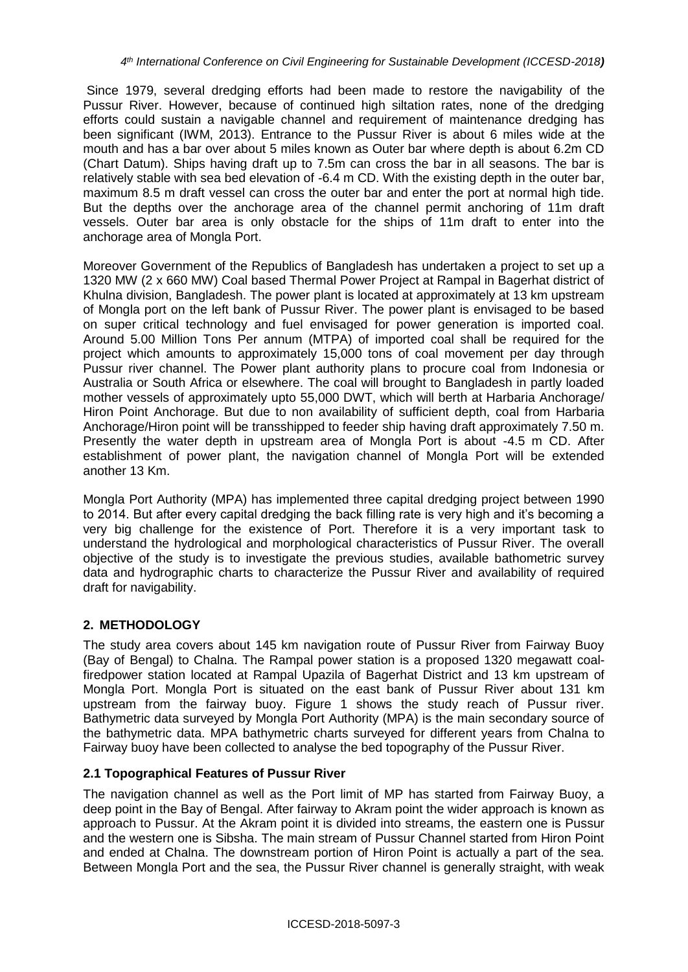Since 1979, several dredging efforts had been made to restore the navigability of the Pussur River. However, because of continued high siltation rates, none of the dredging efforts could sustain a navigable channel and requirement of maintenance dredging has been significant (IWM, 2013). Entrance to the Pussur River is about 6 miles wide at the mouth and has a bar over about 5 miles known as Outer bar where depth is about 6.2m CD (Chart Datum). Ships having draft up to 7.5m can cross the bar in all seasons. The bar is relatively stable with sea bed elevation of -6.4 m CD. With the existing depth in the outer bar, maximum 8.5 m draft vessel can cross the outer bar and enter the port at normal high tide. But the depths over the anchorage area of the channel permit anchoring of 11m draft vessels. Outer bar area is only obstacle for the ships of 11m draft to enter into the anchorage area of Mongla Port.

Moreover Government of the Republics of Bangladesh has undertaken a project to set up a 1320 MW (2 x 660 MW) Coal based Thermal Power Project at Rampal in Bagerhat district of Khulna division, Bangladesh. The power plant is located at approximately at 13 km upstream of Mongla port on the left bank of Pussur River. The power plant is envisaged to be based on super critical technology and fuel envisaged for power generation is imported coal. Around 5.00 Million Tons Per annum (MTPA) of imported coal shall be required for the project which amounts to approximately 15,000 tons of coal movement per day through Pussur river channel. The Power plant authority plans to procure coal from Indonesia or Australia or South Africa or elsewhere. The coal will brought to Bangladesh in partly loaded mother vessels of approximately upto 55,000 DWT, which will berth at Harbaria Anchorage/ Hiron Point Anchorage. But due to non availability of sufficient depth, coal from Harbaria Anchorage/Hiron point will be transshipped to feeder ship having draft approximately 7.50 m. Presently the water depth in upstream area of Mongla Port is about -4.5 m CD. After establishment of power plant, the navigation channel of Mongla Port will be extended another 13 Km.

Mongla Port Authority (MPA) has implemented three capital dredging project between 1990 to 2014. But after every capital dredging the back filling rate is very high and it's becoming a very big challenge for the existence of Port. Therefore it is a very important task to understand the hydrological and morphological characteristics of Pussur River. The overall objective of the study is to investigate the previous studies, available bathometric survey data and hydrographic charts to characterize the Pussur River and availability of required draft for navigability.

# **2. METHODOLOGY**

The study area covers about 145 km navigation route of Pussur River from Fairway Buoy (Bay of Bengal) to Chalna. The Rampal power station is a proposed 1320 megawatt [coal](http://en.wikipedia.org/wiki/Coal_energy)[fired](http://en.wikipedia.org/wiki/Coal_energy)[power station](http://en.wikipedia.org/wiki/Power_station) located at [Rampal Upazila](http://en.wikipedia.org/wiki/Rampal_Upazila) of [Bagerhat District](http://en.wikipedia.org/wiki/Bagerhat_District) and 13 km upstream of Mongla Port. Mongla Port is situated on the east bank of Pussur River about 131 km upstream from the fairway buoy. Figure 1 shows the study reach of Pussur river. Bathymetric data surveyed by Mongla Port Authority (MPA) is the main secondary source of the bathymetric data. MPA bathymetric charts surveyed for different years from Chalna to Fairway buoy have been collected to analyse the bed topography of the Pussur River.

## **2.1 Topographical Features of Pussur River**

The navigation channel as well as the Port limit of MP has started from Fairway Buoy, a deep point in the Bay of Bengal. After fairway to Akram point the wider approach is known as approach to Pussur. At the Akram point it is divided into streams, the eastern one is Pussur and the western one is Sibsha. The main stream of Pussur Channel started from Hiron Point and ended at Chalna. The downstream portion of Hiron Point is actually a part of the sea. Between Mongla Port and the sea, the Pussur River channel is generally straight, with weak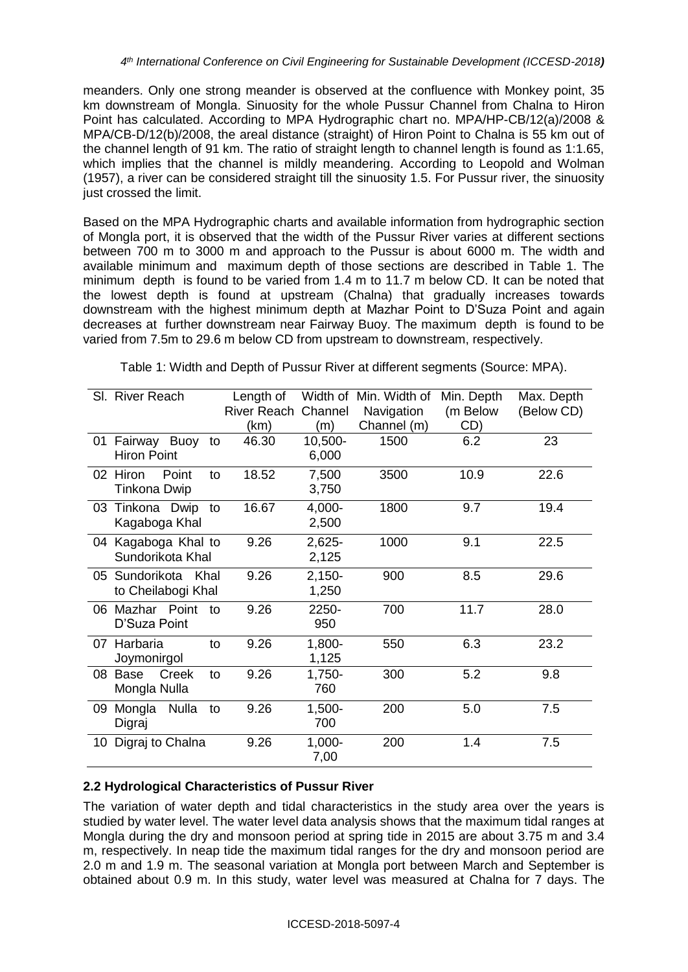meanders. Only one strong meander is observed at the confluence with Monkey point, 35 km downstream of Mongla. Sinuosity for the whole Pussur Channel from Chalna to Hiron Point has calculated. According to MPA Hydrographic chart no. MPA/HP-CB/12(a)/2008 & MPA/CB-D/12(b)/2008, the areal distance (straight) of Hiron Point to Chalna is 55 km out of the channel length of 91 km. The ratio of straight length to channel length is found as 1:1.65, which implies that the channel is mildly meandering. According to Leopold and Wolman (1957), a river can be considered straight till the sinuosity 1.5. For Pussur river, the sinuosity just crossed the limit.

Based on the MPA Hydrographic charts and available information from hydrographic section of Mongla port, it is observed that the width of the Pussur River varies at different sections between 700 m to 3000 m and approach to the Pussur is about 6000 m. The width and available minimum and maximum depth of those sections are described in Table 1. The minimum depth is found to be varied from 1.4 m to 11.7 m below CD. It can be noted that the lowest depth is found at upstream (Chalna) that gradually increases towards downstream with the highest minimum depth at Mazhar Point to D'Suza Point and again decreases at further downstream near Fairway Buoy. The maximum depth is found to be varied from 7.5m to 29.6 m below CD from upstream to downstream, respectively.

Table 1: Width and Depth of Pussur River at different segments (Source: MPA).

|    | SI. River Reach         | Length of                  |           | Width of Min. Width of | Min. Depth | Max. Depth |
|----|-------------------------|----------------------------|-----------|------------------------|------------|------------|
|    |                         | <b>River Reach Channel</b> |           | Navigation             | (m Below   | (Below CD) |
|    |                         | (km)                       | (m)       | Channel (m)            | CD)        |            |
| 01 | Fairway Buoy<br>to      | 46.30                      | 10,500-   | 1500                   | 6.2        | 23         |
|    | <b>Hiron Point</b>      |                            | 6,000     |                        |            |            |
|    | 02 Hiron<br>Point<br>to | 18.52                      | 7,500     | 3500                   | 10.9       | 22.6       |
|    | Tinkona Dwip            |                            | 3,750     |                        |            |            |
|    | 03 Tinkona Dwip<br>to   | 16.67                      | 4,000-    | 1800                   | 9.7        | 19.4       |
|    | Kagaboga Khal           |                            | 2,500     |                        |            |            |
|    | 04 Kagaboga Khal to     | 9.26                       | $2,625-$  | 1000                   | 9.1        | 22.5       |
|    | Sundorikota Khal        |                            | 2,125     |                        |            |            |
|    | 05 Sundorikota Khal     | 9.26                       | $2,150-$  | 900                    | 8.5        | 29.6       |
|    | to Cheilabogi Khal      |                            | 1,250     |                        |            |            |
|    | 06 Mazhar Point<br>to   | 9.26                       | 2250-     | 700                    | 11.7       | 28.0       |
|    | D'Suza Point            |                            | 950       |                        |            |            |
|    | 07 Harbaria<br>to       | 9.26                       | 1,800-    | 550                    | 6.3        | 23.2       |
|    | Joymonirgol             |                            | 1,125     |                        |            |            |
| 08 | Creek<br>Base<br>to     | 9.26                       | 1,750-    | 300                    | 5.2        | 9.8        |
|    | Mongla Nulla            |                            | 760       |                        |            |            |
| 09 | Mongla<br>Nulla<br>to   | 9.26                       | $1,500 -$ | 200                    | 5.0        | 7.5        |
|    | Digraj                  |                            | 700       |                        |            |            |
| 10 | Digraj to Chalna        | 9.26                       | $1,000 -$ | 200                    | 1.4        | 7.5        |
|    |                         |                            | 7,00      |                        |            |            |

## **2.2 Hydrological Characteristics of Pussur River**

The variation of water depth and tidal characteristics in the study area over the years is studied by water level. The water level data analysis shows that the maximum tidal ranges at Mongla during the dry and monsoon period at spring tide in 2015 are about 3.75 m and 3.4 m, respectively. In neap tide the maximum tidal ranges for the dry and monsoon period are 2.0 m and 1.9 m. The seasonal variation at Mongla port between March and September is obtained about 0.9 m. In this study, water level was measured at Chalna for 7 days. The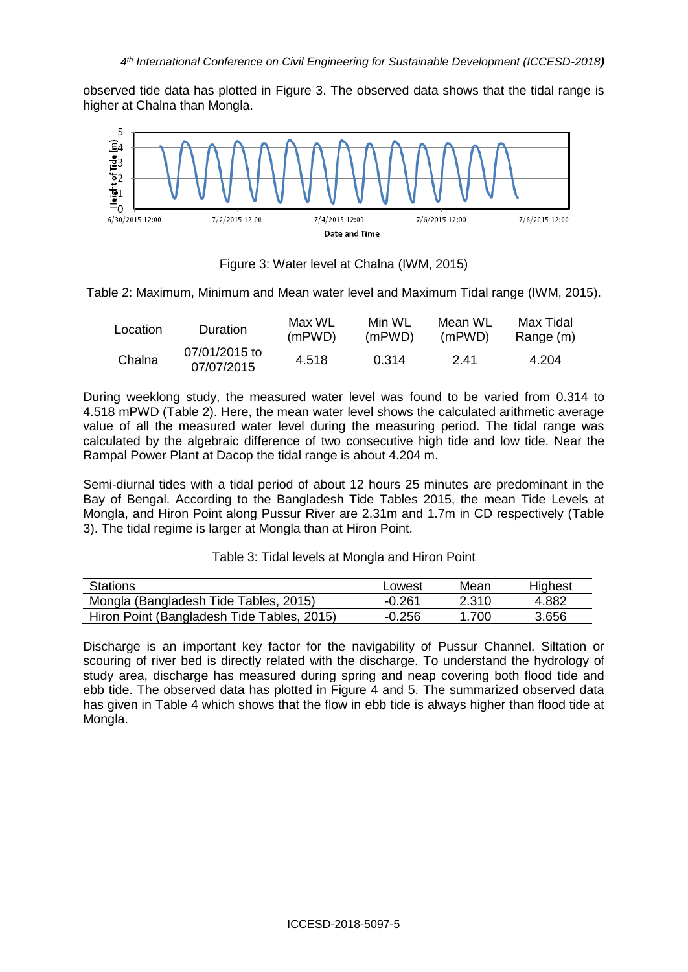observed tide data has plotted in Figure 3. The observed data shows that the tidal range is higher at Chalna than Mongla.



Figure 3: Water level at Chalna (IWM, 2015)

Table 2: Maximum, Minimum and Mean water level and Maximum Tidal range (IWM, 2015).

| Location | Duration                    | Max WL<br>(mPWD) | Min WI<br>(mPWD) | Mean WL<br>(mPWD) | Max Tidal<br>Range (m) |
|----------|-----------------------------|------------------|------------------|-------------------|------------------------|
| Chalna   | 07/01/2015 to<br>07/07/2015 | 4.518            | 0.314            | 2.41              | 4.204                  |

During weeklong study, the measured water level was found to be varied from 0.314 to 4.518 mPWD (Table 2). Here, the mean water level shows the calculated arithmetic average value of all the measured water level during the measuring period. The tidal range was calculated by the algebraic difference of two consecutive high tide and low tide. Near the Rampal Power Plant at Dacop the tidal range is about 4.204 m.

Semi-diurnal tides with a tidal period of about 12 hours 25 minutes are predominant in the Bay of Bengal. According to the Bangladesh Tide Tables 2015, the mean Tide Levels at Mongla, and Hiron Point along Pussur River are 2.31m and 1.7m in CD respectively (Table 3). The tidal regime is larger at Mongla than at Hiron Point.

| <b>Stations</b>                            | Lowest   | Mean  | Highest |
|--------------------------------------------|----------|-------|---------|
| Mongla (Bangladesh Tide Tables, 2015)      | $-0.261$ | 2.310 | 4.882   |
| Hiron Point (Bangladesh Tide Tables, 2015) | $-0.256$ | 1 700 | 3.656   |

Discharge is an important key factor for the navigability of Pussur Channel. Siltation or scouring of river bed is directly related with the discharge. To understand the hydrology of study area, discharge has measured during spring and neap covering both flood tide and ebb tide. The observed data has plotted in Figure 4 and 5. The summarized observed data has given in Table 4 which shows that the flow in ebb tide is always higher than flood tide at Mongla.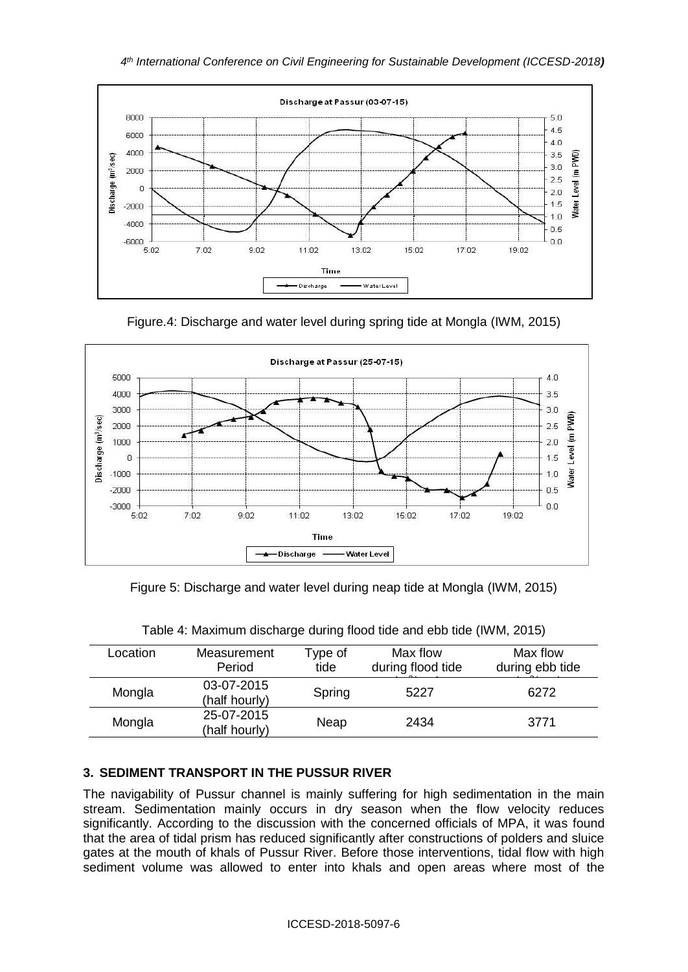





Figure 5: Discharge and water level during neap tide at Mongla (IWM, 2015)

| Location | Measurement<br>Period       | Type of<br>tide | Max flow<br>during flood tide | Max flow<br>during ebb tide |
|----------|-----------------------------|-----------------|-------------------------------|-----------------------------|
| Mongla   | 03-07-2015<br>(half hourly) | Spring          | 5227                          | 6272                        |
| Mongla   | 25-07-2015<br>(half hourly) | Neap            | 2434                          | 3771                        |

Table 4: Maximum discharge during flood tide and ebb tide (IWM, 2015)

## **3. SEDIMENT TRANSPORT IN THE PUSSUR RIVER**

The navigability of Pussur channel is mainly suffering for high sedimentation in the main stream. Sedimentation mainly occurs in dry season when the flow velocity reduces significantly. According to the discussion with the concerned officials of MPA, it was found that the area of tidal prism has reduced significantly after constructions of polders and sluice gates at the mouth of khals of Pussur River. Before those interventions, tidal flow with high sediment volume was allowed to enter into khals and open areas where most of the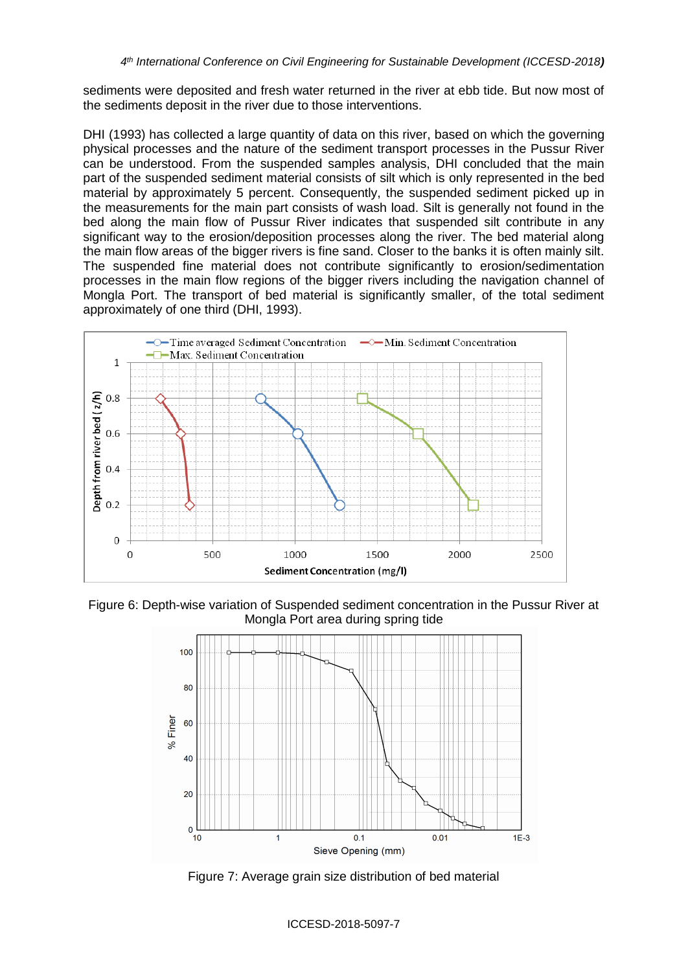sediments were deposited and fresh water returned in the river at ebb tide. But now most of the sediments deposit in the river due to those interventions.

DHI (1993) has collected a large quantity of data on this river, based on which the governing physical processes and the nature of the sediment transport processes in the Pussur River can be understood. From the suspended samples analysis, DHI concluded that the main part of the suspended sediment material consists of silt which is only represented in the bed material by approximately 5 percent. Consequently, the suspended sediment picked up in the measurements for the main part consists of wash load. Silt is generally not found in the bed along the main flow of Pussur River indicates that suspended silt contribute in any significant way to the erosion/deposition processes along the river. The bed material along the main flow areas of the bigger rivers is fine sand. Closer to the banks it is often mainly silt. The suspended fine material does not contribute significantly to erosion/sedimentation processes in the main flow regions of the bigger rivers including the navigation channel of Mongla Port. The transport of bed material is significantly smaller, of the total sediment approximately of one third (DHI, 1993).



Figure 6: Depth-wise variation of Suspended sediment concentration in the Pussur River at Mongla Port area during spring tide



Figure 7: Average grain size distribution of bed material

ICCESD-2018-5097-7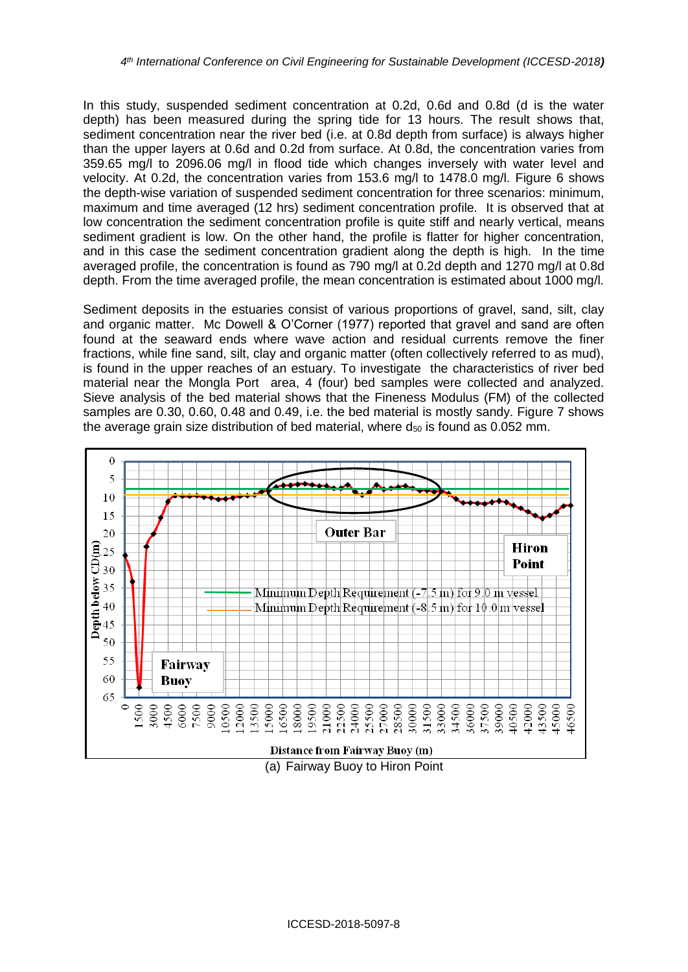In this study, suspended sediment concentration at 0.2d, 0.6d and 0.8d (d is the water depth) has been measured during the spring tide for 13 hours. The result shows that, sediment concentration near the river bed (i.e. at 0.8d depth from surface) is always higher than the upper layers at 0.6d and 0.2d from surface. At 0.8d, the concentration varies from 359.65 mg/l to 2096.06 mg/l in flood tide which changes inversely with water level and velocity. At 0.2d, the concentration varies from 153.6 mg/l to 1478.0 mg/l. Figure 6 shows the depth-wise variation of suspended sediment concentration for three scenarios: minimum, maximum and time averaged (12 hrs) sediment concentration profile. It is observed that at low concentration the sediment concentration profile is quite stiff and nearly vertical, means sediment gradient is low. On the other hand, the profile is flatter for higher concentration, and in this case the sediment concentration gradient along the depth is high. In the time averaged profile, the concentration is found as 790 mg/l at 0.2d depth and 1270 mg/l at 0.8d depth. From the time averaged profile, the mean concentration is estimated about 1000 mg/l.

Sediment deposits in the estuaries consist of various proportions of gravel, sand, silt, clay and organic matter. Mc Dowell & O'Corner (1977) reported that gravel and sand are often found at the seaward ends where wave action and residual currents remove the finer fractions, while fine sand, silt, clay and organic matter (often collectively referred to as mud), is found in the upper reaches of an estuary. To investigate the characteristics of river bed material near the Mongla Port area, 4 (four) bed samples were collected and analyzed. Sieve analysis of the bed material shows that the Fineness Modulus (FM) of the collected samples are 0.30, 0.60, 0.48 and 0.49, i.e. the bed material is mostly sandy. Figure 7 shows the average grain size distribution of bed material, where  $d_{50}$  is found as 0.052 mm.

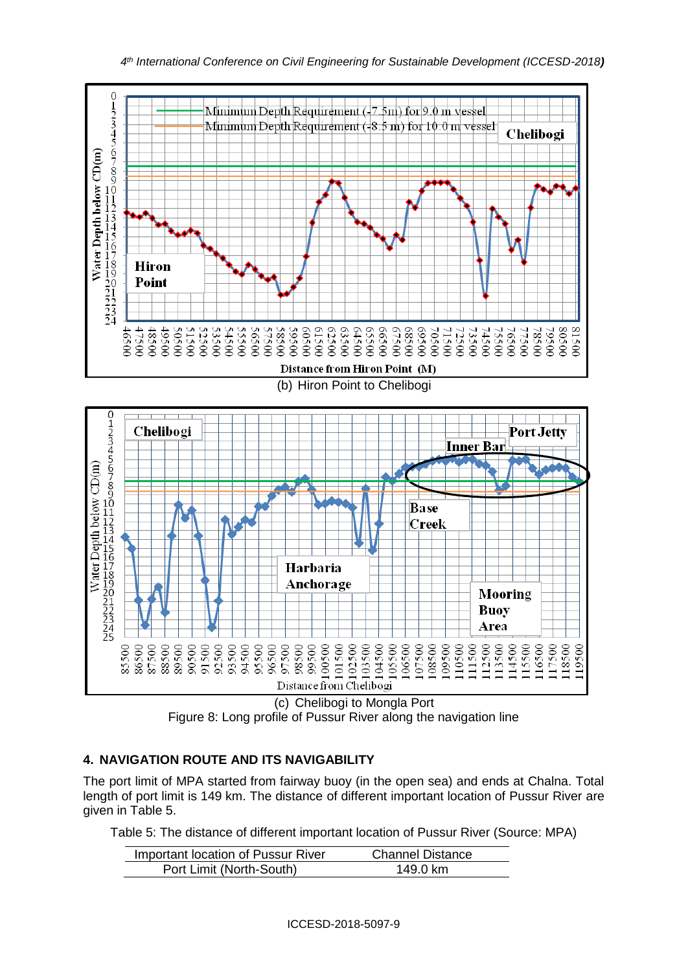





# **4. NAVIGATION ROUTE AND ITS NAVIGABILITY**

The port limit of MPA started from fairway buoy (in the open sea) and ends at Chalna. Total length of port limit is 149 km. The distance of different important location of Pussur River are given in Table 5.

Table 5: The distance of different important location of Pussur River (Source: MPA)

| Important location of Pussur River | <b>Channel Distance</b> |
|------------------------------------|-------------------------|
| Port Limit (North-South)           | 149.0 km                |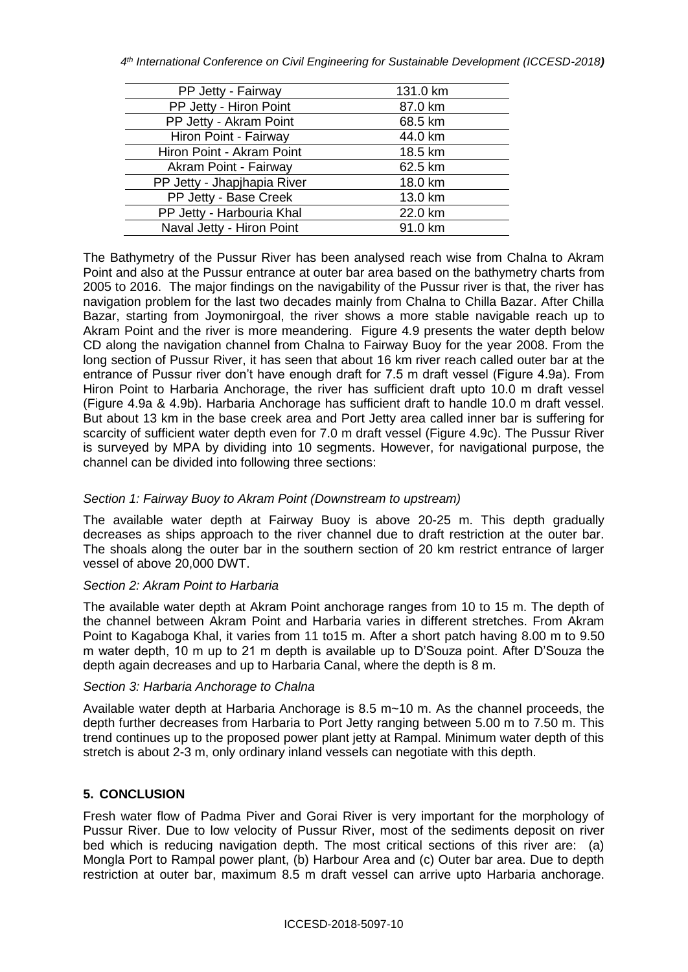| PP Jetty - Fairway          | 131.0 km |
|-----------------------------|----------|
| PP Jetty - Hiron Point      | 87.0 km  |
| PP Jetty - Akram Point      | 68.5 km  |
| Hiron Point - Fairway       | 44.0 km  |
| Hiron Point - Akram Point   | 18.5 km  |
| Akram Point - Fairway       | 62.5 km  |
| PP Jetty - Jhapjhapia River | 18.0 km  |
| PP Jetty - Base Creek       | 13.0 km  |
| PP Jetty - Harbouria Khal   | 22.0 km  |
| Naval Jetty - Hiron Point   | 91.0 km  |

The Bathymetry of the Pussur River has been analysed reach wise from Chalna to Akram Point and also at the Pussur entrance at outer bar area based on the bathymetry charts from 2005 to 2016. The major findings on the navigability of the Pussur river is that, the river has navigation problem for the last two decades mainly from Chalna to Chilla Bazar. After Chilla Bazar, starting from Joymonirgoal, the river shows a more stable navigable reach up to Akram Point and the river is more meandering. Figure 4.9 presents the water depth below CD along the navigation channel from Chalna to Fairway Buoy for the year 2008. From the long section of Pussur River, it has seen that about 16 km river reach called outer bar at the entrance of Pussur river don't have enough draft for 7.5 m draft vessel (Figure 4.9a). From Hiron Point to Harbaria Anchorage, the river has sufficient draft upto 10.0 m draft vessel (Figure 4.9a & 4.9b). Harbaria Anchorage has sufficient draft to handle 10.0 m draft vessel. But about 13 km in the base creek area and Port Jetty area called inner bar is suffering for scarcity of sufficient water depth even for 7.0 m draft vessel (Figure 4.9c). The Pussur River is surveyed by MPA by dividing into 10 segments. However, for navigational purpose, the channel can be divided into following three sections:

## *Section 1: Fairway Buoy to Akram Point (Downstream to upstream)*

The available water depth at Fairway Buoy is above 20-25 m. This depth gradually decreases as ships approach to the river channel due to draft restriction at the outer bar. The shoals along the outer bar in the southern section of 20 km restrict entrance of larger vessel of above 20,000 DWT.

### *Section 2: Akram Point to Harbaria*

The available water depth at Akram Point anchorage ranges from 10 to 15 m. The depth of the channel between Akram Point and Harbaria varies in different stretches. From Akram Point to Kagaboga Khal, it varies from 11 to15 m. After a short patch having 8.00 m to 9.50 m water depth, 10 m up to 21 m depth is available up to D'Souza point. After D'Souza the depth again decreases and up to Harbaria Canal, where the depth is 8 m.

### *Section 3: Harbaria Anchorage to Chalna*

Available water depth at Harbaria Anchorage is 8.5 m~10 m. As the channel proceeds, the depth further decreases from Harbaria to Port Jetty ranging between 5.00 m to 7.50 m. This trend continues up to the proposed power plant jetty at Rampal. Minimum water depth of this stretch is about 2-3 m, only ordinary inland vessels can negotiate with this depth.

## **5. CONCLUSION**

Fresh water flow of Padma Piver and Gorai River is very important for the morphology of Pussur River. Due to low velocity of Pussur River, most of the sediments deposit on river bed which is reducing navigation depth. The most critical sections of this river are: (a) Mongla Port to Rampal power plant, (b) Harbour Area and (c) Outer bar area. Due to depth restriction at outer bar, maximum 8.5 m draft vessel can arrive upto Harbaria anchorage.